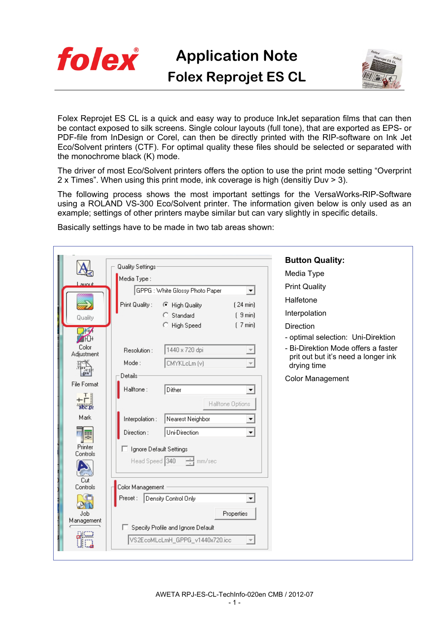

**Application Note Folex Reprojet ES CL** 



Folex Reprojet ES CL is a quick and easy way to produce InkJet separation films that can then be contact exposed to silk screens. Single colour layouts (full tone), that are exported as EPS- or PDF-file from InDesign or Corel, can then be directly printed with the RIP-software on Ink Jet Eco/Solvent printers (CTF). For optimal quality these files should be selected or separated with the monochrome black (K) mode.

The driver of most Eco/Solvent printers offers the option to use the print mode setting "Overprint 2 x Times". When using this print mode, ink coverage is high (densitiy Duv > 3).

The following process shows the most important settings for the VersaWorks-RIP-Software using a ROLAND VS-300 Eco/Solvent printer. The information given below is only used as an example; settings of other printers maybe similar but can vary slightly in specific details.

Basically settings have to be made in two tab areas shown:

| <b>Button Quality:</b><br><b>Quality Settings:</b>                                                                                 |  |
|------------------------------------------------------------------------------------------------------------------------------------|--|
| Media Type<br>Media Type:                                                                                                          |  |
| auout<br><b>Print Quality</b><br>GPPG : White Glossy Photo Paper                                                                   |  |
| ▼<br>Halfetone                                                                                                                     |  |
| Print Quality:<br>C High Quality<br>(24 min)<br>Interpolation                                                                      |  |
| [9 min]<br>Standard<br>Quality                                                                                                     |  |
| High Speed<br>(7 min)<br><b>Direction</b><br>₩                                                                                     |  |
| - optimal selection: Uni-Direktion<br><b>AHO+</b>                                                                                  |  |
| Color<br>- Bi-Direktion Mode offers a faster<br>1440 x 720 dpi<br>Resolution:<br>Adjustment<br>prit out but it's need a longer ink |  |
| Mode:<br>CMYKLcLm (v)<br>drying time                                                                                               |  |
| Details-<br><b>Color Management</b>                                                                                                |  |
| File Format<br>Dither<br>Halftone:<br>▼                                                                                            |  |
| +⊦¦                                                                                                                                |  |
| Halftone Options<br>abc.pe                                                                                                         |  |
| Mark<br>Interpolation:<br>Nearest Neighbor                                                                                         |  |
| Uni-Direction<br>Direction:<br>ल≅                                                                                                  |  |
| Printer<br>□ Ignore Default Settings                                                                                               |  |
| Controls<br>Head Speed 340<br>- mm/sec                                                                                             |  |
|                                                                                                                                    |  |
| Cut                                                                                                                                |  |
| Color Management<br>Controls<br>Preset:                                                                                            |  |
| Density Control Only<br><b>ANTE</b>                                                                                                |  |
| Job<br>Properties                                                                                                                  |  |
| Management<br>Specify Profile and Ignore Default                                                                                   |  |
| VS2EcoMLcLmH_GPPG_v1440x720.icc                                                                                                    |  |
|                                                                                                                                    |  |